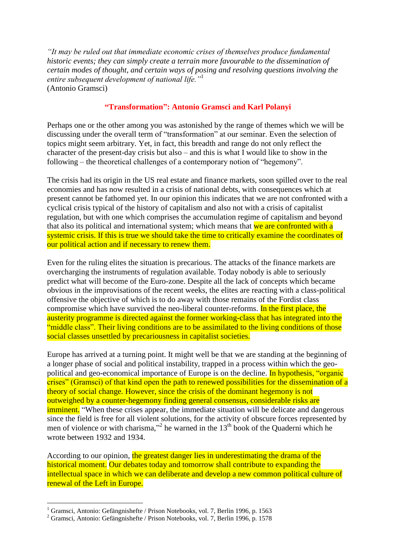*"It may be ruled out that immediate economic crises of themselves produce fundamental historic events; they can simply create a terrain more favourable to the dissemination of certain modes of thought, and certain ways of posing and resolving questions involving the entire subsequent development of national life."*<sup>1</sup> (Antonio Gramsci)

## **"Transformation": Antonio Gramsci and Karl Polanyi**

Perhaps one or the other among you was astonished by the range of themes which we will be discussing under the overall term of "transformation" at our seminar. Even the selection of topics might seem arbitrary. Yet, in fact, this breadth and range do not only reflect the character of the present-day crisis but also – and this is what I would like to show in the following – the theoretical challenges of a contemporary notion of "hegemony".

The crisis had its origin in the US real estate and finance markets, soon spilled over to the real economies and has now resulted in a crisis of national debts, with consequences which at present cannot be fathomed yet. In our opinion this indicates that we are not confronted with a cyclical crisis typical of the history of capitalism and also not with a crisis of capitalist regulation, but with one which comprises the accumulation regime of capitalism and beyond that also its political and international system; which means that we are confronted with a systemic crisis. If this is true we should take the time to critically examine the coordinates of our political action and if necessary to renew them.

Even for the ruling elites the situation is precarious. The attacks of the finance markets are overcharging the instruments of regulation available. Today nobody is able to seriously predict what will become of the Euro-zone. Despite all the lack of concepts which became obvious in the improvisations of the recent weeks, the elites are reacting with a class-political offensive the objective of which is to do away with those remains of the Fordist class compromise which have survived the neo-liberal counter-reforms. In the first place, the austerity programme is directed against the former working-class that has integrated into the "middle class". Their living conditions are to be assimilated to the living conditions of those social classes unsettled by precariousness in capitalist societies.

Europe has arrived at a turning point. It might well be that we are standing at the beginning of a longer phase of social and political instability, trapped in a process within which the geopolitical and geo-economical importance of Europe is on the decline. In hypothesis, "organic crises" (Gramsci) of that kind open the path to renewed possibilities for the dissemination of a theory of social change. However, since the crisis of the dominant hegemony is not outweighed by a counter-hegemony finding general consensus, considerable risks are **imminent.** "When these crises appear, the immediate situation will be delicate and dangerous since the field is free for all violent solutions, for the activity of obscure forces represented by men of violence or with charisma,"<sup>2</sup> he warned in the  $13<sup>th</sup>$  book of the Quaderni which he wrote between 1932 and 1934.

According to our opinion, the greatest danger lies in underestimating the drama of the historical moment. Our debates today and tomorrow shall contribute to expanding the intellectual space in which we can deliberate and develop a new common political culture of renewal of the Left in Europe.

1

<sup>&</sup>lt;sup>1</sup> Gramsci, Antonio: Gefängnishefte / Prison Notebooks, vol. 7, Berlin 1996, p. 1563

<sup>2</sup> Gramsci, Antonio: Gefängnishefte / Prison Notebooks, vol. 7, Berlin 1996, p. 1578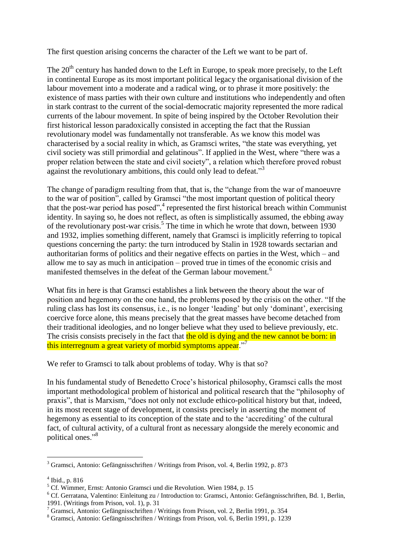The first question arising concerns the character of the Left we want to be part of.

The 20<sup>th</sup> century has handed down to the Left in Europe, to speak more precisely, to the Left in continental Europe as its most important political legacy the organisational division of the labour movement into a moderate and a radical wing, or to phrase it more positively: the existence of mass parties with their own culture and institutions who independently and often in stark contrast to the current of the social-democratic majority represented the more radical currents of the labour movement. In spite of being inspired by the October Revolution their first historical lesson paradoxically consisted in accepting the fact that the Russian revolutionary model was fundamentally not transferable. As we know this model was characterised by a social reality in which, as Gramsci writes, "the state was everything, yet civil society was still primordial and gelatinous". If applied in the West, where "there was a proper relation between the state and civil society", a relation which therefore proved robust against the revolutionary ambitions, this could only lead to defeat."<sup>3</sup>

The change of paradigm resulting from that, that is, the "change from the war of manoeuvre to the war of position", called by Gramsci "the most important question of political theory that the post-war period has posed",<sup>4</sup> represented the first historical breach within Communist identity. In saying so, he does not reflect, as often is simplistically assumed, the ebbing away of the revolutionary post-war crisis.<sup>5</sup> The time in which he wrote that down, between 1930 and 1932, implies something different, namely that Gramsci is implicitly referring to topical questions concerning the party: the turn introduced by Stalin in 1928 towards sectarian and authoritarian forms of politics and their negative effects on parties in the West, which – and allow me to say as much in anticipation – proved true in times of the economic crisis and manifested themselves in the defeat of the German labour movement.<sup>6</sup>

What fits in here is that Gramsci establishes a link between the theory about the war of position and hegemony on the one hand, the problems posed by the crisis on the other. "If the ruling class has lost its consensus, i.e., is no longer 'leading' but only 'dominant', exercising coercive force alone, this means precisely that the great masses have become detached from their traditional ideologies, and no longer believe what they used to believe previously, etc. The crisis consists precisely in the fact that the old is dying and the new cannot be born: in this interregnum a great variety of morbid symptoms appear."<sup>7</sup>

We refer to Gramsci to talk about problems of today. Why is that so?

In his fundamental study of Benedetto Croce's historical philosophy, Gramsci calls the most important methodological problem of historical and political research that the "philosophy of praxis", that is Marxism, "does not only not exclude ethico-political history but that, indeed, in its most recent stage of development, it consists precisely in asserting the moment of hegemony as essential to its conception of the state and to the 'accrediting' of the cultural fact, of cultural activity, of a cultural front as necessary alongside the merely economic and political ones."<sup>8</sup>

1

<sup>3</sup> Gramsci, Antonio: Gefängnisschriften / Writings from Prison, vol. 4, Berlin 1992, p. 873

<sup>4</sup> Ibid., p. 816

<sup>5</sup> Cf. Wimmer, Ernst: Antonio Gramsci und die Revolution. Wien 1984, p. 15

<sup>6</sup> Cf. Gerratana, Valentino: Einleitung zu / Introduction to: Gramsci, Antonio: Gefängnisschriften, Bd. 1, Berlin, 1991. (Writings from Prison, vol. 1), p. 31

<sup>7</sup> Gramsci, Antonio: Gefängnisschriften / Writings from Prison, vol. 2, Berlin 1991, p. 354

<sup>8</sup> Gramsci, Antonio: Gefängnisschriften / Writings from Prison, vol. 6, Berlin 1991, p. 1239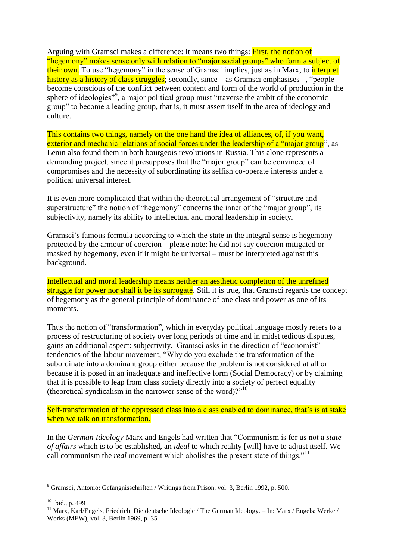Arguing with Gramsci makes a difference: It means two things: First, the notion of "hegemony" makes sense only with relation to "major social groups" who form a subject of their own. To use "hegemony" in the sense of Gramsci implies, just as in Marx, to *interpret* history as a history of class struggles; secondly, since – as Gramsci emphasises –, "people" become conscious of the conflict between content and form of the world of production in the sphere of ideologies"<sup>9</sup>, a major political group must "traverse the ambit of the economic group" to become a leading group, that is, it must assert itself in the area of ideology and culture.

This contains two things, namely on the one hand the idea of alliances, of, if you want, exterior and mechanic relations of social forces under the leadership of a "major group", as Lenin also found them in both bourgeois revolutions in Russia. This alone represents a demanding project, since it presupposes that the "major group" can be convinced of compromises and the necessity of subordinating its selfish co-operate interests under a political universal interest.

It is even more complicated that within the theoretical arrangement of "structure and superstructure" the notion of "hegemony" concerns the inner of the "major group", its subjectivity, namely its ability to intellectual and moral leadership in society.

Gramsci's famous formula according to which the state in the integral sense is hegemony protected by the armour of coercion – please note: he did not say coercion mitigated or masked by hegemony, even if it might be universal – must be interpreted against this background.

Intellectual and moral leadership means neither an aesthetic completion of the unrefined struggle for power nor shall it be its surrogate. Still it is true, that Gramsci regards the concept of hegemony as the general principle of dominance of one class and power as one of its moments.

Thus the notion of "transformation", which in everyday political language mostly refers to a process of restructuring of society over long periods of time and in midst tedious disputes, gains an additional aspect: subjectivity. Gramsci asks in the direction of "economist" tendencies of the labour movement, "Why do you exclude the transformation of the subordinate into a dominant group either because the problem is not considered at all or because it is posed in an inadequate and ineffective form (Social Democracy) or by claiming that it is possible to leap from class society directly into a society of perfect equality (theoretical syndicalism in the narrower sense of the word)? $10$ 

Self-transformation of the oppressed class into a class enabled to dominance, that's is at stake when we talk on transformation.

In the *German Ideology* Marx and Engels had written that "Communism is for us not a *state of affairs* which is to be established, an *ideal* to which reality [will] have to adjust itself. We call communism the *real* movement which abolishes the present state of things."<sup>11</sup>

1

<sup>9</sup> Gramsci, Antonio: Gefängnisschriften / Writings from Prison, vol. 3, Berlin 1992, p. 500.

<sup>10</sup> Ibid., p. 499

<sup>&</sup>lt;sup>11</sup> Marx, Karl/Engels, Friedrich: Die deutsche Ideologie / The German Ideology. – In: Marx / Engels: Werke / Works (MEW), vol. 3, Berlin 1969, p. 35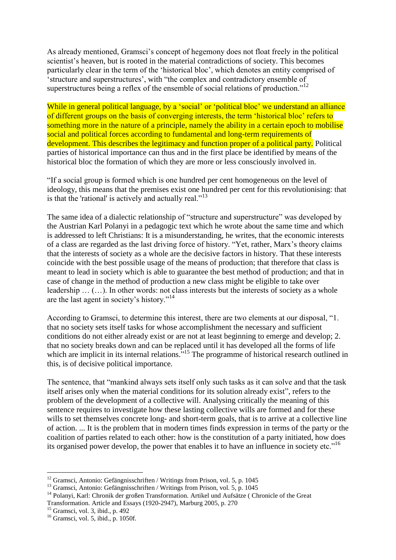As already mentioned, Gramsci's concept of hegemony does not float freely in the political scientist's heaven, but is rooted in the material contradictions of society. This becomes particularly clear in the term of the 'historical bloc', which denotes an entity comprised of 'structure and superstructures', with "the complex and contradictory ensemble of superstructures being a reflex of the ensemble of social relations of production."<sup>12</sup>

While in general political language, by a 'social' or 'political bloc' we understand an alliance of different groups on the basis of converging interests, the term 'historical bloc' refers to something more in the nature of a principle, namely the ability in a certain epoch to mobilise social and political forces according to fundamental and long-term requirements of development. This describes the legitimacy and function proper of a political party. Political parties of historical importance can thus and in the first place be identified by means of the historical bloc the formation of which they are more or less consciously involved in.

"If a social group is formed which is one hundred per cent homogeneous on the level of ideology, this means that the premises exist one hundred per cent for this revolutionising: that is that the 'rational' is actively and actually real."<sup>13</sup>

The same idea of a dialectic relationship of "structure and superstructure" was developed by the Austrian Karl Polanyi in a pedagogic text which he wrote about the same time and which is addressed to left Christians: It is a misunderstanding, he writes, that the economic interests of a class are regarded as the last driving force of history. "Yet, rather, Marx's theory claims that the interests of society as a whole are the decisive factors in history. That these interests coincide with the best possible usage of the means of production; that therefore that class is meant to lead in society which is able to guarantee the best method of production; and that in case of change in the method of production a new class might be eligible to take over leadership … (…). In other words: not class interests but the interests of society as a whole are the last agent in society's history."<sup>14</sup>

According to Gramsci, to determine this interest, there are two elements at our disposal, "1. that no society sets itself tasks for whose accomplishment the necessary and sufficient conditions do not either already exist or are not at least beginning to emerge and develop; 2. that no society breaks down and can be replaced until it has developed all the forms of life which are implicit in its internal relations.<sup>715</sup> The programme of historical research outlined in this, is of decisive political importance.

The sentence, that "mankind always sets itself only such tasks as it can solve and that the task itself arises only when the material conditions for its solution already exist", refers to the problem of the development of a collective will. Analysing critically the meaning of this sentence requires to investigate how these lasting collective wills are formed and for these wills to set themselves concrete long- and short-term goals, that is to arrive at a collective line of action. ... It is the problem that in modern times finds expression in terms of the party or the coalition of parties related to each other: how is the constitution of a party initiated, how does its organised power develop, the power that enables it to have an influence in society etc."<sup>16</sup>

<u>.</u>

 $12$  Gramsci, Antonio: Gefängnisschriften / Writings from Prison, vol. 5, p. 1045

<sup>&</sup>lt;sup>13</sup> Gramsci, Antonio: Gefängnisschriften / Writings from Prison, vol. 5, p. 1045

<sup>&</sup>lt;sup>14</sup> Polanyi, Karl: Chronik der großen Transformation. Artikel und Aufsätze (Chronicle of the Great Transformation. Article and Essays (1920-2947), Marburg 2005, p. 270

<sup>15</sup> Gramsci, vol. 3, ibid., p. 492

<sup>16</sup> Gramsci, vol. 5, ibid., p. 1050f.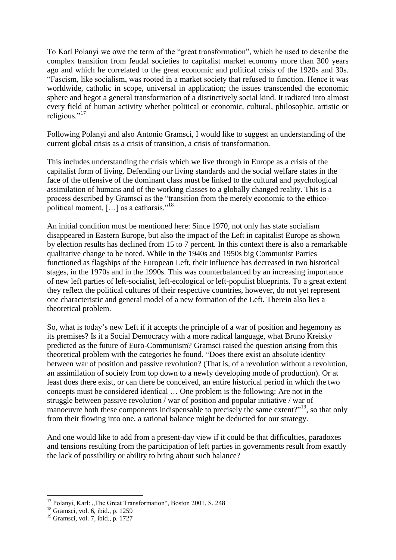To Karl Polanyi we owe the term of the "great transformation", which he used to describe the complex transition from feudal societies to capitalist market economy more than 300 years ago and which he correlated to the great economic and political crisis of the 1920s and 30s. "Fascism, like socialism, was rooted in a market society that refused to function. Hence it was worldwide, catholic in scope, universal in application; the issues transcended the economic sphere and begot a general transformation of a distinctively social kind. It radiated into almost every field of human activity whether political or economic, cultural, philosophic, artistic or religious."<sup>17</sup>

Following Polanyi and also Antonio Gramsci, I would like to suggest an understanding of the current global crisis as a crisis of transition, a crisis of transformation.

This includes understanding the crisis which we live through in Europe as a crisis of the capitalist form of living. Defending our living standards and the social welfare states in the face of the offensive of the dominant class must be linked to the cultural and psychological assimilation of humans and of the working classes to a globally changed reality. This is a process described by Gramsci as the "transition from the merely economic to the ethicopolitical moment, [...] as a catharsis."<sup>18</sup>

An initial condition must be mentioned here: Since 1970, not only has state socialism disappeared in Eastern Europe, but also the impact of the Left in capitalist Europe as shown by election results has declined from 15 to 7 percent. In this context there is also a remarkable qualitative change to be noted. While in the 1940s and 1950s big Communist Parties functioned as flagships of the European Left, their influence has decreased in two historical stages, in the 1970s and in the 1990s. This was counterbalanced by an increasing importance of new left parties of left-socialist, left-ecological or left-populist blueprints. To a great extent they reflect the political cultures of their respective countries, however, do not yet represent one characteristic and general model of a new formation of the Left. Therein also lies a theoretical problem.

So, what is today's new Left if it accepts the principle of a war of position and hegemony as its premises? Is it a Social Democracy with a more radical language, what Bruno Kreisky predicted as the future of Euro-Communism? Gramsci raised the question arising from this theoretical problem with the categories he found. "Does there exist an absolute identity between war of position and passive revolution? (That is, of a revolution without a revolution, an assimilation of society from top down to a newly developing mode of production). Or at least does there exist, or can there be conceived, an entire historical period in which the two concepts must be considered identical … One problem is the following: Are not in the struggle between passive revolution / war of position and popular initiative / war of manoeuvre both these components indispensable to precisely the same extent?"<sup>19</sup>, so that only from their flowing into one, a rational balance might be deducted for our strategy.

And one would like to add from a present-day view if it could be that difficulties, paradoxes and tensions resulting from the participation of left parties in governments result from exactly the lack of possibility or ability to bring about such balance?

<u>.</u>

<sup>&</sup>lt;sup>17</sup> Polanyi, Karl: "The Great Transformation", Boston 2001, S. 248

 $18$  Gramsci, vol. 6, ibid., p. 1259

<sup>19</sup> Gramsci, vol. 7, ibid., p. 1727